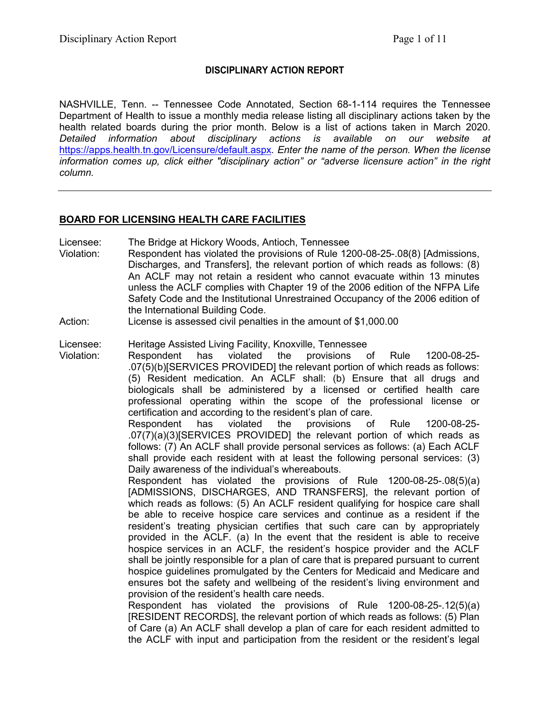#### **DISCIPLINARY ACTION REPORT**

NASHVILLE, Tenn. -- Tennessee Code Annotated, Section 68-1-114 requires the Tennessee Department of Health to issue a monthly media release listing all disciplinary actions taken by the health related boards during the prior month. Below is a list of actions taken in March 2020. *Detailed information about disciplinary actions is available on our website at*  <https://apps.health.tn.gov/Licensure/default.aspx>*. Enter the name of the person. When the license information comes up, click either "disciplinary action" or "adverse licensure action" in the right column.*

#### **BOARD FOR LICENSING HEALTH CARE FACILITIES**

Licensee: The Bridge at Hickory Woods, Antioch, Tennessee

- Violation: Respondent has violated the provisions of Rule 1200-08-25-.08(8) [Admissions, Discharges, and Transfers], the relevant portion of which reads as follows: (8) An ACLF may not retain a resident who cannot evacuate within 13 minutes unless the ACLF complies with Chapter 19 of the 2006 edition of the NFPA Life Safety Code and the Institutional Unrestrained Occupancy of the 2006 edition of the International Building Code.
- Action: License is assessed civil penalties in the amount of \$1,000.00

#### Licensee: Heritage Assisted Living Facility, Knoxville, Tennessee

Violation: Respondent has violated the provisions of Rule 1200-08-25- .07(5)(b)[SERVICES PROVIDED] the relevant portion of which reads as follows: (5) Resident medication. An ACLF shall: (b) Ensure that all drugs and biologicals shall be administered by a licensed or certified health care professional operating within the scope of the professional license or certification and according to the resident's plan of care.

Respondent has violated the provisions of Rule 1200-08-25- .07(7)(a)(3)[SERVICES PROVIDED] the relevant portion of which reads as follows: (7) An ACLF shall provide personal services as follows: (a) Each ACLF shall provide each resident with at least the following personal services: (3) Daily awareness of the individual's whereabouts.

Respondent has violated the provisions of Rule 1200-08-25-.08(5)(a) [ADMISSIONS, DISCHARGES, AND TRANSFERS], the relevant portion of which reads as follows: (5) An ACLF resident qualifying for hospice care shall be able to receive hospice care services and continue as a resident if the resident's treating physician certifies that such care can by appropriately provided in the ACLF. (a) In the event that the resident is able to receive hospice services in an ACLF, the resident's hospice provider and the ACLF shall be jointly responsible for a plan of care that is prepared pursuant to current hospice guidelines promulgated by the Centers for Medicaid and Medicare and ensures bot the safety and wellbeing of the resident's living environment and provision of the resident's health care needs.

Respondent has violated the provisions of Rule 1200-08-25-.12(5)(a) [RESIDENT RECORDS], the relevant portion of which reads as follows: (5) Plan of Care (a) An ACLF shall develop a plan of care for each resident admitted to the ACLF with input and participation from the resident or the resident's legal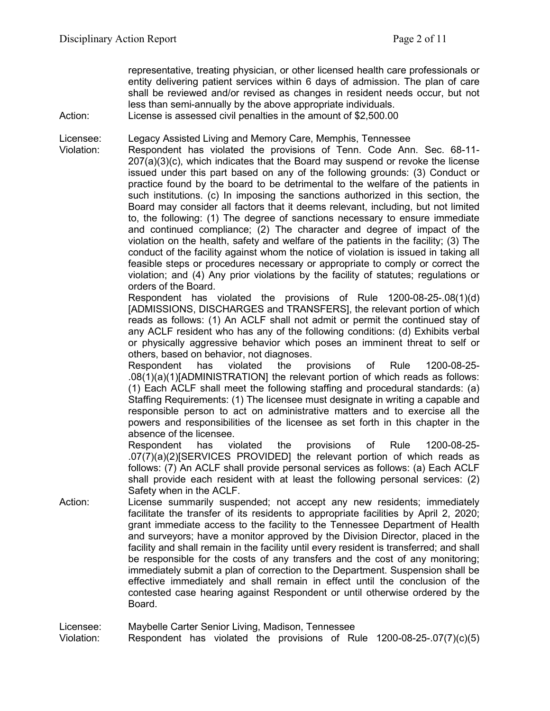representative, treating physician, or other licensed health care professionals or entity delivering patient services within 6 days of admission. The plan of care shall be reviewed and/or revised as changes in resident needs occur, but not less than semi-annually by the above appropriate individuals.

Action: License is assessed civil penalties in the amount of \$2,500.00

Licensee: Legacy Assisted Living and Memory Care, Memphis, Tennessee

Violation: Respondent has violated the provisions of Tenn. Code Ann. Sec. 68-11- 207(a)(3)(c), which indicates that the Board may suspend or revoke the license issued under this part based on any of the following grounds: (3) Conduct or practice found by the board to be detrimental to the welfare of the patients in such institutions. (c) In imposing the sanctions authorized in this section, the Board may consider all factors that it deems relevant, including, but not limited to, the following: (1) The degree of sanctions necessary to ensure immediate and continued compliance; (2) The character and degree of impact of the violation on the health, safety and welfare of the patients in the facility; (3) The conduct of the facility against whom the notice of violation is issued in taking all feasible steps or procedures necessary or appropriate to comply or correct the violation; and (4) Any prior violations by the facility of statutes; regulations or orders of the Board.

> Respondent has violated the provisions of Rule 1200-08-25-.08(1)(d) [ADMISSIONS, DISCHARGES and TRANSFERS], the relevant portion of which reads as follows: (1) An ACLF shall not admit or permit the continued stay of any ACLF resident who has any of the following conditions: (d) Exhibits verbal or physically aggressive behavior which poses an imminent threat to self or others, based on behavior, not diagnoses.

> Respondent has violated the provisions of Rule 1200-08-25- .08(1)(a)(1)[ADMINISTRATION] the relevant portion of which reads as follows: (1) Each ACLF shall meet the following staffing and procedural standards: (a) Staffing Requirements: (1) The licensee must designate in writing a capable and responsible person to act on administrative matters and to exercise all the powers and responsibilities of the licensee as set forth in this chapter in the absence of the licensee.

> Respondent has violated the provisions of Rule 1200-08-25- .07(7)(a)(2)[SERVICES PROVIDED] the relevant portion of which reads as follows: (7) An ACLF shall provide personal services as follows: (a) Each ACLF shall provide each resident with at least the following personal services: (2) Safety when in the ACLF.

Action: License summarily suspended; not accept any new residents; immediately facilitate the transfer of its residents to appropriate facilities by April 2, 2020; grant immediate access to the facility to the Tennessee Department of Health and surveyors; have a monitor approved by the Division Director, placed in the facility and shall remain in the facility until every resident is transferred; and shall be responsible for the costs of any transfers and the cost of any monitoring; immediately submit a plan of correction to the Department. Suspension shall be effective immediately and shall remain in effect until the conclusion of the contested case hearing against Respondent or until otherwise ordered by the Board.

Licensee: Maybelle Carter Senior Living, Madison, Tennessee

Violation: Respondent has violated the provisions of Rule 1200-08-25-.07(7)(c)(5)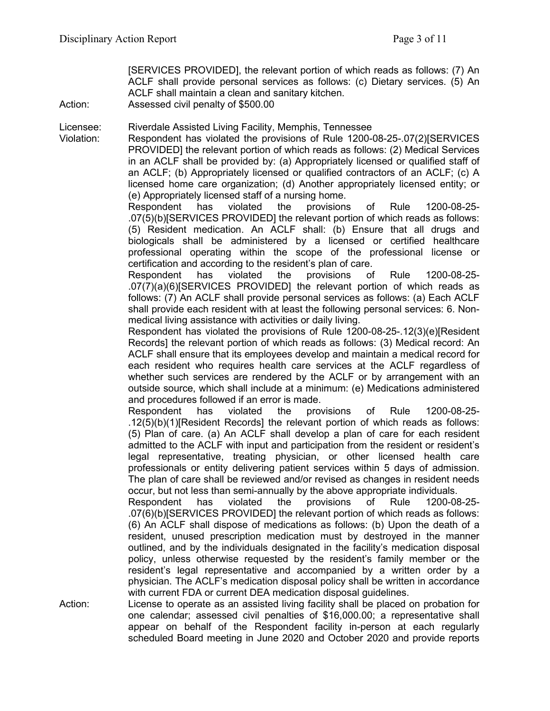[SERVICES PROVIDED], the relevant portion of which reads as follows: (7) An ACLF shall provide personal services as follows: (c) Dietary services. (5) An ACLF shall maintain a clean and sanitary kitchen.

Action: Assessed civil penalty of \$500.00

Licensee: Riverdale Assisted Living Facility, Memphis, Tennessee

Violation: Respondent has violated the provisions of Rule 1200-08-25-.07(2)[SERVICES PROVIDED] the relevant portion of which reads as follows: (2) Medical Services in an ACLF shall be provided by: (a) Appropriately licensed or qualified staff of an ACLF; (b) Appropriately licensed or qualified contractors of an ACLF; (c) A licensed home care organization; (d) Another appropriately licensed entity; or (e) Appropriately licensed staff of a nursing home.

Respondent has violated the provisions of Rule 1200-08-25- .07(5)(b)[SERVICES PROVIDED] the relevant portion of which reads as follows: (5) Resident medication. An ACLF shall: (b) Ensure that all drugs and biologicals shall be administered by a licensed or certified healthcare professional operating within the scope of the professional license or certification and according to the resident's plan of care.

Respondent has violated the provisions of Rule 1200-08-25- .07(7)(a)(6)[SERVICES PROVIDED] the relevant portion of which reads as follows: (7) An ACLF shall provide personal services as follows: (a) Each ACLF shall provide each resident with at least the following personal services: 6. Nonmedical living assistance with activities or daily living.

Respondent has violated the provisions of Rule 1200-08-25-.12(3)(e)[Resident Records] the relevant portion of which reads as follows: (3) Medical record: An ACLF shall ensure that its employees develop and maintain a medical record for each resident who requires health care services at the ACLF regardless of whether such services are rendered by the ACLF or by arrangement with an outside source, which shall include at a minimum: (e) Medications administered and procedures followed if an error is made.

Respondent has violated the provisions of Rule 1200-08-25- .12(5)(b)(1)[Resident Records] the relevant portion of which reads as follows: (5) Plan of care. (a) An ACLF shall develop a plan of care for each resident admitted to the ACLF with input and participation from the resident or resident's legal representative, treating physician, or other licensed health care professionals or entity delivering patient services within 5 days of admission. The plan of care shall be reviewed and/or revised as changes in resident needs occur, but not less than semi-annually by the above appropriate individuals.

Respondent has violated the provisions of Rule 1200-08-25- .07(6)(b)[SERVICES PROVIDED] the relevant portion of which reads as follows: (6) An ACLF shall dispose of medications as follows: (b) Upon the death of a resident, unused prescription medication must by destroyed in the manner outlined, and by the individuals designated in the facility's medication disposal policy, unless otherwise requested by the resident's family member or the resident's legal representative and accompanied by a written order by a physician. The ACLF's medication disposal policy shall be written in accordance with current FDA or current DEA medication disposal guidelines.

Action: License to operate as an assisted living facility shall be placed on probation for one calendar; assessed civil penalties of \$16,000.00; a representative shall appear on behalf of the Respondent facility in-person at each regularly scheduled Board meeting in June 2020 and October 2020 and provide reports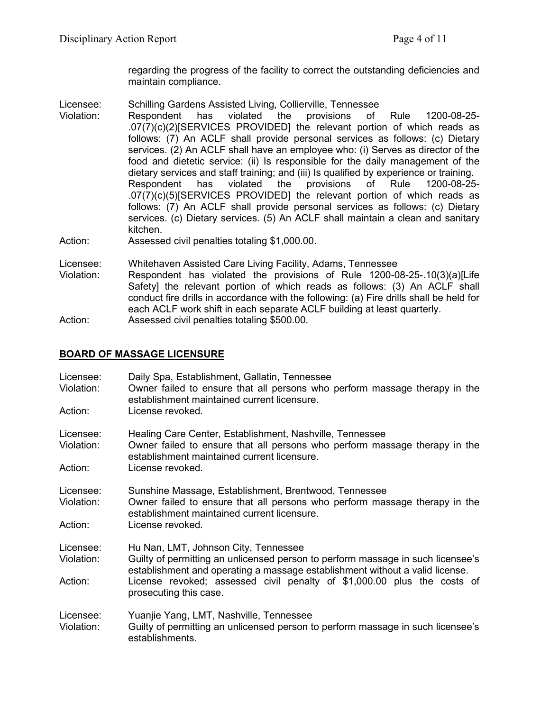regarding the progress of the facility to correct the outstanding deficiencies and maintain compliance.

- Licensee: Schilling Gardens Assisted Living, Collierville, Tennessee
- Violation: Respondent has violated the provisions of Rule 1200-08-25- .07(7)(c)(2)[SERVICES PROVIDED] the relevant portion of which reads as follows: (7) An ACLF shall provide personal services as follows: (c) Dietary services. (2) An ACLF shall have an employee who: (i) Serves as director of the food and dietetic service: (ii) Is responsible for the daily management of the dietary services and staff training; and (iii) Is qualified by experience or training.<br>Respondent has violated the provisions of Rule 1200-08-25 Respondent has violated the provisions of Rule 1200-08-25- .07(7)(c)(5)[SERVICES PROVIDED] the relevant portion of which reads as follows: (7) An ACLF shall provide personal services as follows: (c) Dietary services. (c) Dietary services. (5) An ACLF shall maintain a clean and sanitary kitchen.
- Action: Assessed civil penalties totaling \$1,000.00.

Licensee: Whitehaven Assisted Care Living Facility, Adams, Tennessee

Violation: Respondent has violated the provisions of Rule 1200-08-25-.10(3)(a)[Life Safety] the relevant portion of which reads as follows: (3) An ACLF shall conduct fire drills in accordance with the following: (a) Fire drills shall be held for each ACLF work shift in each separate ACLF building at least quarterly. Action: Assessed civil penalties totaling \$500.00.

# **BOARD OF MASSAGE LICENSURE**

| Licensee:<br>Violation:<br>Action: | Daily Spa, Establishment, Gallatin, Tennessee<br>Owner failed to ensure that all persons who perform massage therapy in the<br>establishment maintained current licensure.<br>License revoked.                                                                                                               |
|------------------------------------|--------------------------------------------------------------------------------------------------------------------------------------------------------------------------------------------------------------------------------------------------------------------------------------------------------------|
| Licensee:<br>Violation:<br>Action: | Healing Care Center, Establishment, Nashville, Tennessee<br>Owner failed to ensure that all persons who perform massage therapy in the<br>establishment maintained current licensure.<br>License revoked.                                                                                                    |
| Licensee:<br>Violation:<br>Action: | Sunshine Massage, Establishment, Brentwood, Tennessee<br>Owner failed to ensure that all persons who perform massage therapy in the<br>establishment maintained current licensure.<br>License revoked.                                                                                                       |
| Licensee:<br>Violation:<br>Action: | Hu Nan, LMT, Johnson City, Tennessee<br>Guilty of permitting an unlicensed person to perform massage in such licensee's<br>establishment and operating a massage establishment without a valid license.<br>License revoked; assessed civil penalty of \$1,000.00 plus the costs of<br>prosecuting this case. |
| Licensee:<br>Violation:            | Yuanjie Yang, LMT, Nashville, Tennessee<br>Guilty of permitting an unlicensed person to perform massage in such licensee's<br>establishments.                                                                                                                                                                |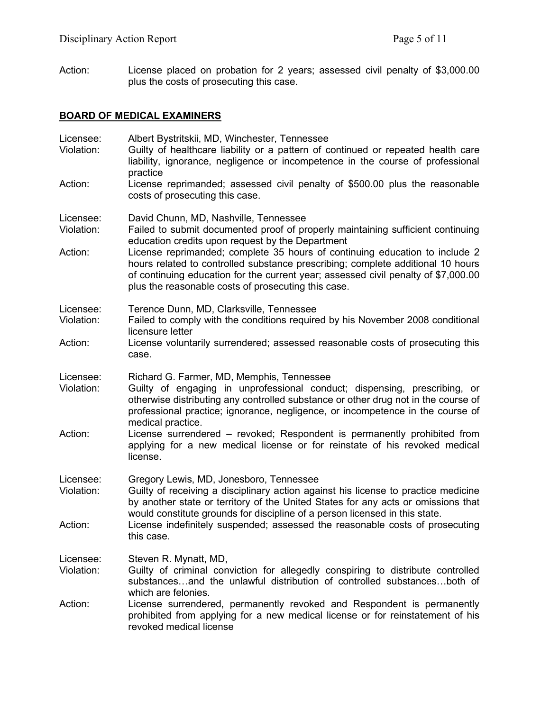Action: License placed on probation for 2 years; assessed civil penalty of \$3,000.00 plus the costs of prosecuting this case.

### **BOARD OF MEDICAL EXAMINERS**

| Licensee:<br>Violation:            | Albert Bystritskii, MD, Winchester, Tennessee<br>Guilty of healthcare liability or a pattern of continued or repeated health care<br>liability, ignorance, negligence or incompetence in the course of professional<br>practice                                                                                                                                                                                                                                                             |
|------------------------------------|---------------------------------------------------------------------------------------------------------------------------------------------------------------------------------------------------------------------------------------------------------------------------------------------------------------------------------------------------------------------------------------------------------------------------------------------------------------------------------------------|
| Action:                            | License reprimanded; assessed civil penalty of \$500.00 plus the reasonable<br>costs of prosecuting this case.                                                                                                                                                                                                                                                                                                                                                                              |
| Licensee:<br>Violation:<br>Action: | David Chunn, MD, Nashville, Tennessee<br>Failed to submit documented proof of properly maintaining sufficient continuing<br>education credits upon request by the Department<br>License reprimanded; complete 35 hours of continuing education to include 2<br>hours related to controlled substance prescribing; complete additional 10 hours<br>of continuing education for the current year; assessed civil penalty of \$7,000.00<br>plus the reasonable costs of prosecuting this case. |
| Licensee:<br>Violation:<br>Action: | Terence Dunn, MD, Clarksville, Tennessee<br>Failed to comply with the conditions required by his November 2008 conditional<br>licensure letter<br>License voluntarily surrendered; assessed reasonable costs of prosecuting this<br>case.                                                                                                                                                                                                                                                   |
| Licensee:<br>Violation:<br>Action: | Richard G. Farmer, MD, Memphis, Tennessee<br>Guilty of engaging in unprofessional conduct; dispensing, prescribing, or<br>otherwise distributing any controlled substance or other drug not in the course of<br>professional practice; ignorance, negligence, or incompetence in the course of<br>medical practice.<br>License surrendered – revoked; Respondent is permanently prohibited from<br>applying for a new medical license or for reinstate of his revoked medical<br>license.   |
| Licensee:<br>Violation:<br>Action: | Gregory Lewis, MD, Jonesboro, Tennessee<br>Guilty of receiving a disciplinary action against his license to practice medicine<br>by another state or territory of the United States for any acts or omissions that<br>would constitute grounds for discipline of a person licensed in this state.<br>License indefinitely suspended; assessed the reasonable costs of prosecuting<br>this case                                                                                              |
| Licensee:<br>Violation:<br>Action: | Steven R. Mynatt, MD,<br>Guilty of criminal conviction for allegedly conspiring to distribute controlled<br>substancesand the unlawful distribution of controlled substancesboth of<br>which are felonies.<br>License surrendered, permanently revoked and Respondent is permanently<br>prohibited from applying for a new medical license or for reinstatement of his<br>revoked medical license                                                                                           |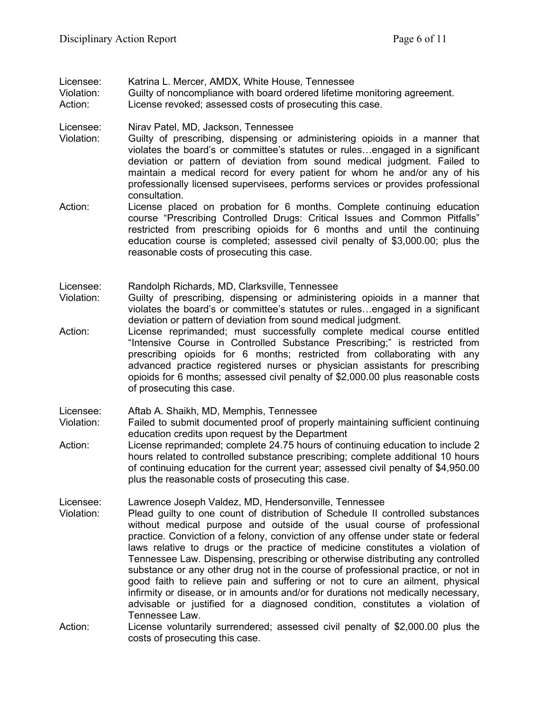Licensee: Katrina L. Mercer, AMDX, White House, Tennessee

Violation: Guilty of noncompliance with board ordered lifetime monitoring agreement.

Action: License revoked; assessed costs of prosecuting this case.

Licensee: Nirav Patel, MD, Jackson, Tennessee

- Violation: Guilty of prescribing, dispensing or administering opioids in a manner that violates the board's or committee's statutes or rules…engaged in a significant deviation or pattern of deviation from sound medical judgment. Failed to maintain a medical record for every patient for whom he and/or any of his professionally licensed supervisees, performs services or provides professional consultation.
- Action: License placed on probation for 6 months. Complete continuing education course "Prescribing Controlled Drugs: Critical Issues and Common Pitfalls" restricted from prescribing opioids for 6 months and until the continuing education course is completed; assessed civil penalty of \$3,000.00; plus the reasonable costs of prosecuting this case.

Licensee: Randolph Richards, MD, Clarksville, Tennessee

- Violation: Guilty of prescribing, dispensing or administering opioids in a manner that violates the board's or committee's statutes or rules…engaged in a significant deviation or pattern of deviation from sound medical judgment.
- Action: License reprimanded; must successfully complete medical course entitled "Intensive Course in Controlled Substance Prescribing;" is restricted from prescribing opioids for 6 months; restricted from collaborating with any advanced practice registered nurses or physician assistants for prescribing opioids for 6 months; assessed civil penalty of \$2,000.00 plus reasonable costs of prosecuting this case.

Licensee: Aftab A. Shaikh, MD, Memphis, Tennessee

- Violation: Failed to submit documented proof of properly maintaining sufficient continuing education credits upon request by the Department
- Action: License reprimanded; complete 24.75 hours of continuing education to include 2 hours related to controlled substance prescribing; complete additional 10 hours of continuing education for the current year; assessed civil penalty of \$4,950.00 plus the reasonable costs of prosecuting this case.

Licensee: Lawrence Joseph Valdez, MD, Hendersonville, Tennessee

- Violation: Plead guilty to one count of distribution of Schedule II controlled substances without medical purpose and outside of the usual course of professional practice. Conviction of a felony, conviction of any offense under state or federal laws relative to drugs or the practice of medicine constitutes a violation of Tennessee Law. Dispensing, prescribing or otherwise distributing any controlled substance or any other drug not in the course of professional practice, or not in good faith to relieve pain and suffering or not to cure an ailment, physical infirmity or disease, or in amounts and/or for durations not medically necessary, advisable or justified for a diagnosed condition, constitutes a violation of Tennessee Law.
- Action: License voluntarily surrendered; assessed civil penalty of \$2,000.00 plus the costs of prosecuting this case.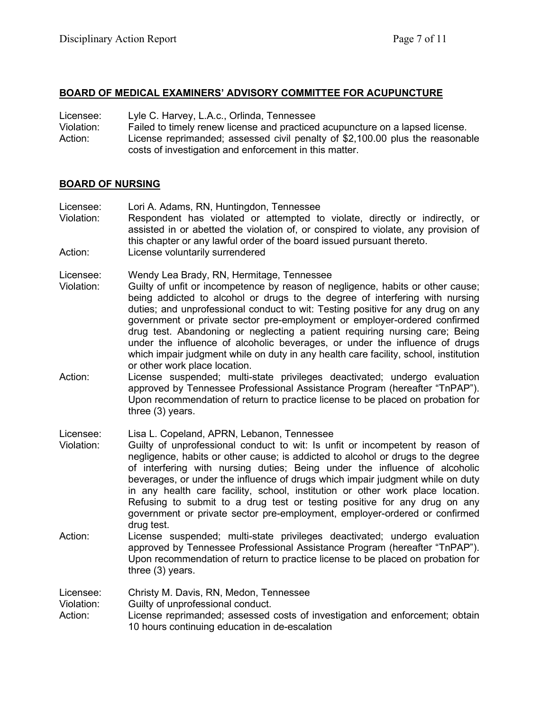#### **BOARD OF MEDICAL EXAMINERS' ADVISORY COMMITTEE FOR ACUPUNCTURE**

| Licensee:  | Lyle C. Harvey, L.A.c., Orlinda, Tennessee                                    |
|------------|-------------------------------------------------------------------------------|
| Violation: | Failed to timely renew license and practiced acupuncture on a lapsed license. |
| Action:    | License reprimanded; assessed civil penalty of \$2,100.00 plus the reasonable |
|            | costs of investigation and enforcement in this matter.                        |

#### **BOARD OF NURSING**

- Licensee: Lori A. Adams, RN, Huntingdon, Tennessee Violation: Respondent has violated or attempted to violate, directly or indirectly, or assisted in or abetted the violation of, or conspired to violate, any provision of this chapter or any lawful order of the board issued pursuant thereto. Action: License voluntarily surrendered
- Licensee: Wendy Lea Brady, RN, Hermitage, Tennessee
- Violation: Guilty of unfit or incompetence by reason of negligence, habits or other cause; being addicted to alcohol or drugs to the degree of interfering with nursing duties; and unprofessional conduct to wit: Testing positive for any drug on any government or private sector pre-employment or employer-ordered confirmed drug test. Abandoning or neglecting a patient requiring nursing care; Being under the influence of alcoholic beverages, or under the influence of drugs which impair judgment while on duty in any health care facility, school, institution or other work place location.
- Action: License suspended; multi-state privileges deactivated; undergo evaluation approved by Tennessee Professional Assistance Program (hereafter "TnPAP"). Upon recommendation of return to practice license to be placed on probation for three (3) years.

Licensee: Lisa L. Copeland, APRN, Lebanon, Tennessee

- Violation: Guilty of unprofessional conduct to wit: Is unfit or incompetent by reason of negligence, habits or other cause; is addicted to alcohol or drugs to the degree of interfering with nursing duties; Being under the influence of alcoholic beverages, or under the influence of drugs which impair judgment while on duty in any health care facility, school, institution or other work place location. Refusing to submit to a drug test or testing positive for any drug on any government or private sector pre-employment, employer-ordered or confirmed drug test.
- Action: License suspended; multi-state privileges deactivated; undergo evaluation approved by Tennessee Professional Assistance Program (hereafter "TnPAP"). Upon recommendation of return to practice license to be placed on probation for three (3) years.

Licensee: Christy M. Davis, RN, Medon, Tennessee<br>Violation: Guilty of unprofessional conduct.

Guilty of unprofessional conduct.

Action: License reprimanded; assessed costs of investigation and enforcement; obtain 10 hours continuing education in de-escalation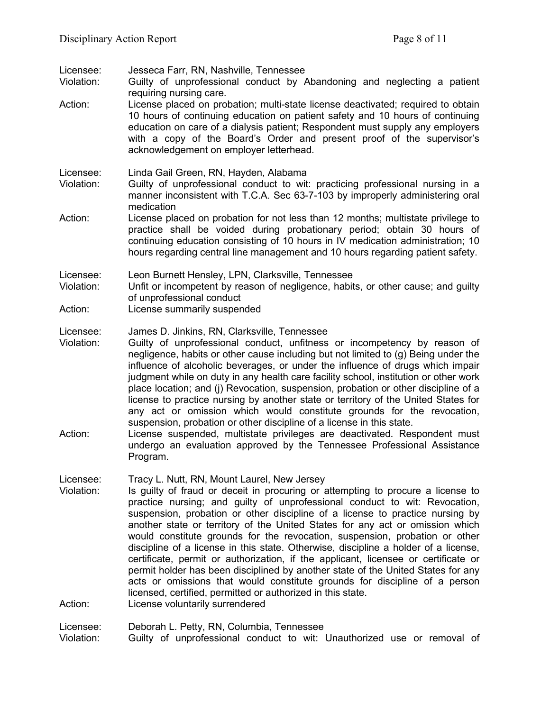| Licensee:<br>Violation:<br>Action: | Jesseca Farr, RN, Nashville, Tennessee<br>Guilty of unprofessional conduct by Abandoning and neglecting a patient<br>requiring nursing care.<br>License placed on probation; multi-state license deactivated; required to obtain<br>10 hours of continuing education on patient safety and 10 hours of continuing<br>education on care of a dialysis patient; Respondent must supply any employers<br>with a copy of the Board's Order and present proof of the supervisor's<br>acknowledgement on employer letterhead.                                                                                                                                                                                                                                                                                                                                                                                        |
|------------------------------------|----------------------------------------------------------------------------------------------------------------------------------------------------------------------------------------------------------------------------------------------------------------------------------------------------------------------------------------------------------------------------------------------------------------------------------------------------------------------------------------------------------------------------------------------------------------------------------------------------------------------------------------------------------------------------------------------------------------------------------------------------------------------------------------------------------------------------------------------------------------------------------------------------------------|
| Licensee:<br>Violation:            | Linda Gail Green, RN, Hayden, Alabama<br>Guilty of unprofessional conduct to wit: practicing professional nursing in a<br>manner inconsistent with T.C.A. Sec 63-7-103 by improperly administering oral<br>medication                                                                                                                                                                                                                                                                                                                                                                                                                                                                                                                                                                                                                                                                                          |
| Action:                            | License placed on probation for not less than 12 months; multistate privilege to<br>practice shall be voided during probationary period; obtain 30 hours of<br>continuing education consisting of 10 hours in IV medication administration; 10<br>hours regarding central line management and 10 hours regarding patient safety.                                                                                                                                                                                                                                                                                                                                                                                                                                                                                                                                                                               |
| Licensee:<br>Violation:<br>Action: | Leon Burnett Hensley, LPN, Clarksville, Tennessee<br>Unfit or incompetent by reason of negligence, habits, or other cause; and guilty<br>of unprofessional conduct<br>License summarily suspended                                                                                                                                                                                                                                                                                                                                                                                                                                                                                                                                                                                                                                                                                                              |
| Licensee:<br>Violation:<br>Action: | James D. Jinkins, RN, Clarksville, Tennessee<br>Guilty of unprofessional conduct, unfitness or incompetency by reason of<br>negligence, habits or other cause including but not limited to (g) Being under the<br>influence of alcoholic beverages, or under the influence of drugs which impair<br>judgment while on duty in any health care facility school, institution or other work<br>place location; and (j) Revocation, suspension, probation or other discipline of a<br>license to practice nursing by another state or territory of the United States for<br>any act or omission which would constitute grounds for the revocation,<br>suspension, probation or other discipline of a license in this state.<br>License suspended, multistate privileges are deactivated. Respondent must<br>undergo an evaluation approved by the Tennessee Professional Assistance<br>Program.                    |
| Licensee:<br>Violation:<br>Action: | Tracy L. Nutt, RN, Mount Laurel, New Jersey<br>Is guilty of fraud or deceit in procuring or attempting to procure a license to<br>practice nursing; and guilty of unprofessional conduct to wit: Revocation,<br>suspension, probation or other discipline of a license to practice nursing by<br>another state or territory of the United States for any act or omission which<br>would constitute grounds for the revocation, suspension, probation or other<br>discipline of a license in this state. Otherwise, discipline a holder of a license,<br>certificate, permit or authorization, if the applicant, licensee or certificate or<br>permit holder has been disciplined by another state of the United States for any<br>acts or omissions that would constitute grounds for discipline of a person<br>licensed, certified, permitted or authorized in this state.<br>License voluntarily surrendered |
| Licensee:<br>Violation:            | Deborah L. Petty, RN, Columbia, Tennessee<br>Guilty of unprofessional conduct to wit: Unauthorized use or removal of                                                                                                                                                                                                                                                                                                                                                                                                                                                                                                                                                                                                                                                                                                                                                                                           |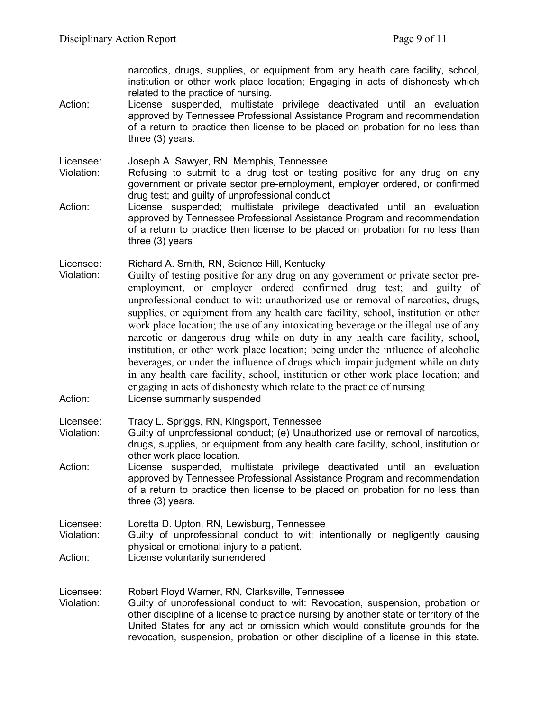narcotics, drugs, supplies, or equipment from any health care facility, school, institution or other work place location; Engaging in acts of dishonesty which related to the practice of nursing.

Action: License suspended, multistate privilege deactivated until an evaluation approved by Tennessee Professional Assistance Program and recommendation of a return to practice then license to be placed on probation for no less than three (3) years.

Licensee: Joseph A. Sawyer, RN, Memphis, Tennessee

- Violation: Refusing to submit to a drug test or testing positive for any drug on any government or private sector pre-employment, employer ordered, or confirmed drug test; and guilty of unprofessional conduct
- Action: License suspended; multistate privilege deactivated until an evaluation approved by Tennessee Professional Assistance Program and recommendation of a return to practice then license to be placed on probation for no less than three (3) years

Licensee: Richard A. Smith, RN, Science Hill, Kentucky

Violation: Guilty of testing positive for any drug on any government or private sector preemployment, or employer ordered confirmed drug test; and guilty of unprofessional conduct to wit: unauthorized use or removal of narcotics, drugs, supplies, or equipment from any health care facility, school, institution or other work place location; the use of any intoxicating beverage or the illegal use of any narcotic or dangerous drug while on duty in any health care facility, school, institution, or other work place location; being under the influence of alcoholic beverages, or under the influence of drugs which impair judgment while on duty in any health care facility, school, institution or other work place location; and engaging in acts of dishonesty which relate to the practice of nursing Action: License summarily suspended

Licensee: Tracy L. Spriggs, RN, Kingsport, Tennessee

- Violation: Guilty of unprofessional conduct; (e) Unauthorized use or removal of narcotics, drugs, supplies, or equipment from any health care facility, school, institution or other work place location.
- Action: License suspended, multistate privilege deactivated until an evaluation approved by Tennessee Professional Assistance Program and recommendation of a return to practice then license to be placed on probation for no less than three (3) years.

Licensee: Loretta D. Upton, RN, Lewisburg, Tennessee

- Violation: Guilty of unprofessional conduct to wit: intentionally or negligently causing physical or emotional injury to a patient.
- Action: License voluntarily surrendered

Licensee: Robert Floyd Warner, RN, Clarksville, Tennessee

Violation: Guilty of unprofessional conduct to wit: Revocation, suspension, probation or other discipline of a license to practice nursing by another state or territory of the United States for any act or omission which would constitute grounds for the revocation, suspension, probation or other discipline of a license in this state.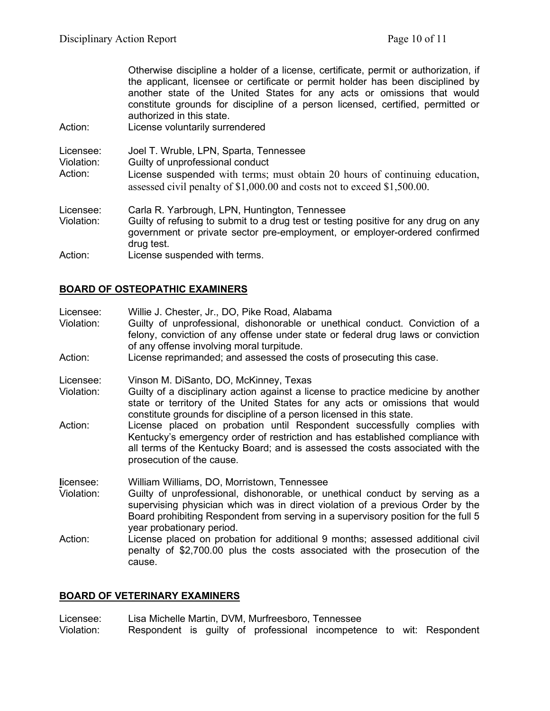Otherwise discipline a holder of a license, certificate, permit or authorization, if the applicant, licensee or certificate or permit holder has been disciplined by another state of the United States for any acts or omissions that would constitute grounds for discipline of a person licensed, certified, permitted or authorized in this state. Action: License voluntarily surrendered Licensee: Joel T. Wruble, LPN, Sparta, Tennessee Violation: Guilty of unprofessional conduct Action: License suspended with terms; must obtain 20 hours of continuing education, assessed civil penalty of \$1,000.00 and costs not to exceed \$1,500.00. Licensee: Carla R. Yarbrough, LPN, Huntington, Tennessee Violation: Guilty of refusing to submit to a drug test or testing positive for any drug on any government or private sector pre-employment, or employer-ordered confirmed drug test. Action: License suspended with terms.

## **BOARD OF OSTEOPATHIC EXAMINERS**

| Licensee:<br>Violation:<br>Action: | Willie J. Chester, Jr., DO, Pike Road, Alabama<br>Guilty of unprofessional, dishonorable or unethical conduct. Conviction of a<br>felony, conviction of any offense under state or federal drug laws or conviction<br>of any offense involving moral turpitude.<br>License reprimanded; and assessed the costs of prosecuting this case. |
|------------------------------------|------------------------------------------------------------------------------------------------------------------------------------------------------------------------------------------------------------------------------------------------------------------------------------------------------------------------------------------|
| Licensee:<br>Violation:            | Vinson M. DiSanto, DO, McKinney, Texas<br>Guilty of a disciplinary action against a license to practice medicine by another<br>state or territory of the United States for any acts or omissions that would<br>constitute grounds for discipline of a person licensed in this state.                                                     |
| Action:                            | License placed on probation until Respondent successfully complies with<br>Kentucky's emergency order of restriction and has established compliance with<br>all terms of the Kentucky Board; and is assessed the costs associated with the<br>prosecution of the cause.                                                                  |
| licensee:<br>Violation:            | William Williams, DO, Morristown, Tennessee<br>Guilty of unprofessional, dishonorable, or unethical conduct by serving as a<br>supervising physician which was in direct violation of a previous Order by the<br>Board prohibiting Respondent from serving in a supervisory position for the full 5<br>year probationary period.         |
| Action:                            | License placed on probation for additional 9 months; assessed additional civil<br>penalty of \$2,700.00 plus the costs associated with the prosecution of the<br>cause.                                                                                                                                                                  |

#### **BOARD OF VETERINARY EXAMINERS**

Licensee: Lisa Michelle Martin, DVM, Murfreesboro, Tennessee Violation: Respondent is guilty of professional incompetence to wit: Respondent